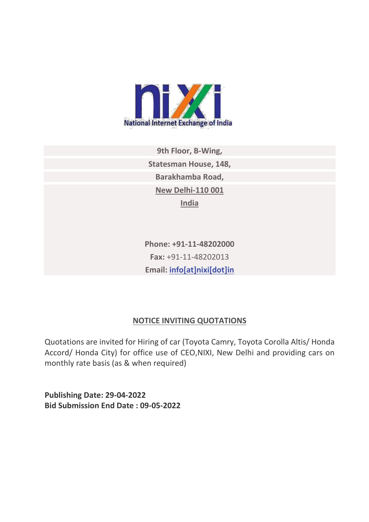

**9th Floor, B-Wing, Statesman House, 148, Barakhamba Road, New Delhi-110 001 India**

**Phone: +91-11-48202000 Fax:** +91-11-48202013 **Email: [info\[at\]nixi\[dot\]in](mailto:info[at]nixi[dot]in)**

## **NOTICE INVITING QUOTATIONS**

Quotations are invited for Hiring of car (Toyota Camry, Toyota Corolla Altis/ Honda Accord/ Honda City) for office use of CEO,NIXI, New Delhi and providing cars on monthly rate basis (as & when required)

**Publishing Date: 29-04-2022 Bid Submission End Date : 09-05-2022**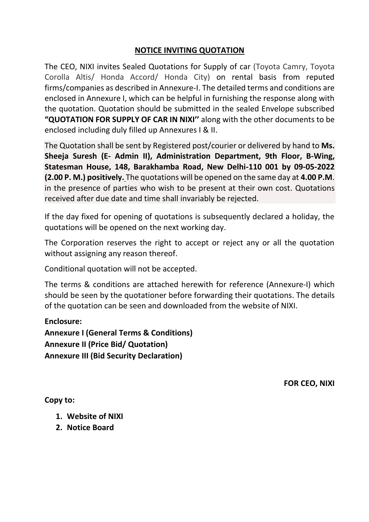#### **NOTICE INVITING QUOTATION**

The CEO, NIXI invites Sealed Quotations for Supply of car (Toyota Camry, Toyota Corolla Altis/ Honda Accord/ Honda City) on rental basis from reputed firms/companies as described in Annexure-I. The detailed terms and conditions are enclosed in Annexure I, which can be helpful in furnishing the response along with the quotation. Quotation should be submitted in the sealed Envelope subscribed **"QUOTATION FOR SUPPLY OF CAR IN NIXI''** along with the other documents to be enclosed including duly filled up Annexures I & II.

The Quotation shall be sent by Registered post/courier or delivered by hand to **Ms. Sheeja Suresh (E- Admin II), Administration Department, 9th Floor, B-Wing, Statesman House, 148, Barakhamba Road, New Delhi-110 001 by 09-05-2022 (2.00 P. M.) positively.** The quotations will be opened on the same day at **4.00 P.M**. in the presence of parties who wish to be present at their own cost. Quotations received after due date and time shall invariably be rejected.

If the day fixed for opening of quotations is subsequently declared a holiday, the quotations will be opened on the next working day.

The Corporation reserves the right to accept or reject any or all the quotation without assigning any reason thereof.

Conditional quotation will not be accepted.

The terms & conditions are attached herewith for reference (Annexure-I) which should be seen by the quotationer before forwarding their quotations. The details of the quotation can be seen and downloaded from the website of NIXI.

**Enclosure: Annexure I (General Terms & Conditions) Annexure II (Price Bid/ Quotation) Annexure III (Bid Security Declaration)**

**FOR CEO, NIXI**

**Copy to:** 

- **1. Website of NIXI**
- **2. Notice Board**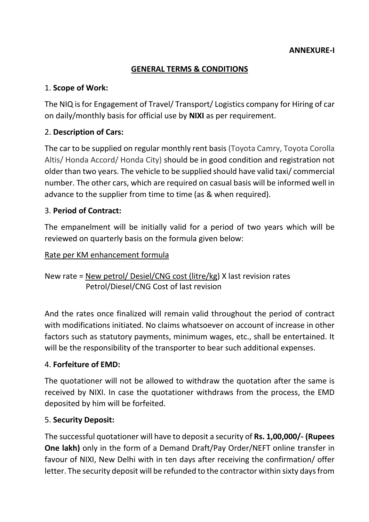## **GENERAL TERMS & CONDITIONS**

# 1. **Scope of Work:**

The NIQ is for Engagement of Travel/ Transport/ Logistics company for Hiring of car on daily/monthly basis for official use by **NIXI** as per requirement.

# 2. **Description of Cars:**

The car to be supplied on regular monthly rent basis (Toyota Camry, Toyota Corolla Altis/ Honda Accord/ Honda City) should be in good condition and registration not older than two years. The vehicle to be supplied should have valid taxi/ commercial number. The other cars, which are required on casual basis will be informed well in advance to the supplier from time to time (as & when required).

## 3. **Period of Contract:**

The empanelment will be initially valid for a period of two years which will be reviewed on quarterly basis on the formula given below:

#### Rate per KM enhancement formula

New rate = New petrol/ Desiel/CNG cost (litre/kg) X last revision rates Petrol/Diesel/CNG Cost of last revision

And the rates once finalized will remain valid throughout the period of contract with modifications initiated. No claims whatsoever on account of increase in other factors such as statutory payments, minimum wages, etc., shall be entertained. It will be the responsibility of the transporter to bear such additional expenses.

## 4. **Forfeiture of EMD:**

The quotationer will not be allowed to withdraw the quotation after the same is received by NIXI. In case the quotationer withdraws from the process, the EMD deposited by him will be forfeited.

## 5. **Security Deposit:**

The successful quotationer will have to deposit a security of **Rs. 1,00,000/‐ (Rupees One lakh)** only in the form of a Demand Draft/Pay Order/NEFT online transfer in favour of NIXI, New Delhi with in ten days after receiving the confirmation/ offer letter. The security deposit will be refunded to the contractor within sixty days from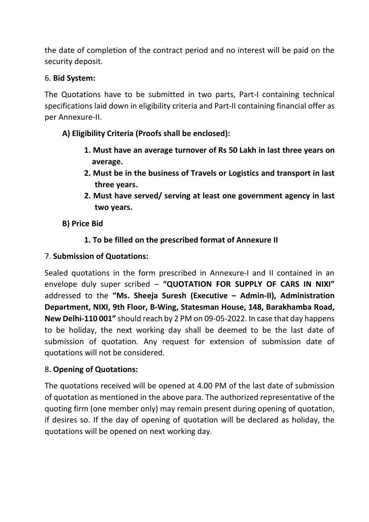the date of completion of the contract period and no interest will be paid on the security deposit.

## 6. **Bid System:**

The Quotations have to be submitted in two parts, Part-I containing technical specifications laid down in eligibility criteria and Part-II containing financial offer as per Annexure-II.

# **A) Eligibility Criteria (Proofs shall be enclosed):**

- **1. Must have an average turnover of Rs 50 Lakh in last three years on average.**
- **2. Must be in the business of Travels or Logistics and transport in last three years.**
- **2. Must have served/ serving at least one government agency in last two years.**
- **B) Price Bid**

# **1. To be filled on the prescribed format of Annexure II**

## 7. **Submission of Quotations:**

Sealed quotations in the form prescribed in Annexure-I and II contained in an envelope duly super scribed – **"QUOTATION FOR SUPPLY OF CARS IN NIXI"**  addressed to the **"Ms. Sheeja Suresh (Executive – Admin-II), Administration Department, NIXI, 9th Floor, B-Wing, Statesman House, 148, Barakhamba Road, New Delhi-110 001"** should reach by 2 PM on 09-05-2022. In case that day happens to be holiday, the next working day shall be deemed to be the last date of submission of quotation. Any request for extension of submission date of quotations will not be considered.

## 8. **Opening of Quotations:**

The quotations received will be opened at 4.00 PM of the last date of submission of quotation as mentioned in the above para. The authorized representative of the quoting firm (one member only) may remain present during opening of quotation, if desires so. If the day of opening of quotation will be declared as holiday, the quotations will be opened on next working day.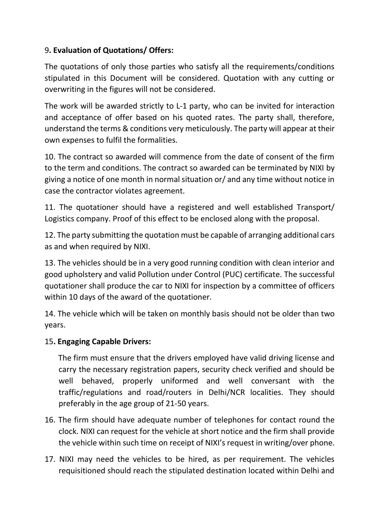# 9**. Evaluation of Quotations/ Offers:**

The quotations of only those parties who satisfy all the requirements/conditions stipulated in this Document will be considered. Quotation with any cutting or overwriting in the figures will not be considered.

The work will be awarded strictly to L-1 party, who can be invited for interaction and acceptance of offer based on his quoted rates. The party shall, therefore, understand the terms & conditions very meticulously. The party will appear at their own expenses to fulfil the formalities.

10. The contract so awarded will commence from the date of consent of the firm to the term and conditions. The contract so awarded can be terminated by NIXI by giving a notice of one month in normal situation or/ and any time without notice in case the contractor violates agreement.

11. The quotationer should have a registered and well established Transport/ Logistics company. Proof of this effect to be enclosed along with the proposal.

12. The party submitting the quotation must be capable of arranging additional cars as and when required by NIXI.

13. The vehicles should be in a very good running condition with clean interior and good upholstery and valid Pollution under Control (PUC) certificate. The successful quotationer shall produce the car to NIXI for inspection by a committee of officers within 10 days of the award of the quotationer.

14. The vehicle which will be taken on monthly basis should not be older than two years.

## 15**. Engaging Capable Drivers:**

 The firm must ensure that the drivers employed have valid driving license and carry the necessary registration papers, security check verified and should be well behaved, properly uniformed and well conversant with the traffic/regulations and road/routers in Delhi/NCR localities. They should preferably in the age group of 21-50 years.

- 16. The firm should have adequate number of telephones for contact round the clock. NIXI can request for the vehicle at short notice and the firm shall provide the vehicle within such time on receipt of NIXI's request in writing/over phone.
- 17. NIXI may need the vehicles to be hired, as per requirement. The vehicles requisitioned should reach the stipulated destination located within Delhi and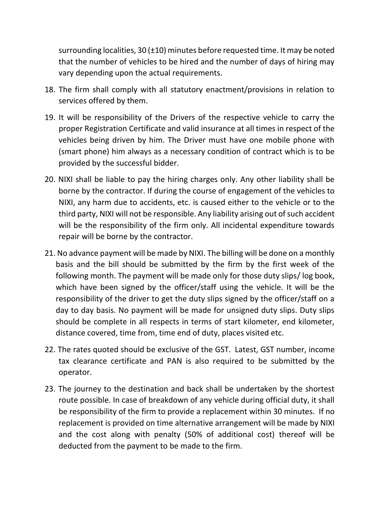surrounding localities, 30 (±10) minutes before requested time. It may be noted that the number of vehicles to be hired and the number of days of hiring may vary depending upon the actual requirements.

- 18. The firm shall comply with all statutory enactment/provisions in relation to services offered by them.
- 19. It will be responsibility of the Drivers of the respective vehicle to carry the proper Registration Certificate and valid insurance at all times in respect of the vehicles being driven by him. The Driver must have one mobile phone with (smart phone) him always as a necessary condition of contract which is to be provided by the successful bidder.
- 20. NIXI shall be liable to pay the hiring charges only. Any other liability shall be borne by the contractor. If during the course of engagement of the vehicles to NIXI, any harm due to accidents, etc. is caused either to the vehicle or to the third party, NIXI will not be responsible. Any liability arising out of such accident will be the responsibility of the firm only. All incidental expenditure towards repair will be borne by the contractor.
- 21. No advance payment will be made by NIXI. The billing will be done on a monthly basis and the bill should be submitted by the firm by the first week of the following month. The payment will be made only for those duty slips/ log book, which have been signed by the officer/staff using the vehicle. It will be the responsibility of the driver to get the duty slips signed by the officer/staff on a day to day basis. No payment will be made for unsigned duty slips. Duty slips should be complete in all respects in terms of start kilometer, end kilometer, distance covered, time from, time end of duty, places visited etc.
- 22. The rates quoted should be exclusive of the GST. Latest, GST number, income tax clearance certificate and PAN is also required to be submitted by the operator.
- 23. The journey to the destination and back shall be undertaken by the shortest route possible. In case of breakdown of any vehicle during official duty, it shall be responsibility of the firm to provide a replacement within 30 minutes. If no replacement is provided on time alternative arrangement will be made by NIXI and the cost along with penalty (50% of additional cost) thereof will be deducted from the payment to be made to the firm.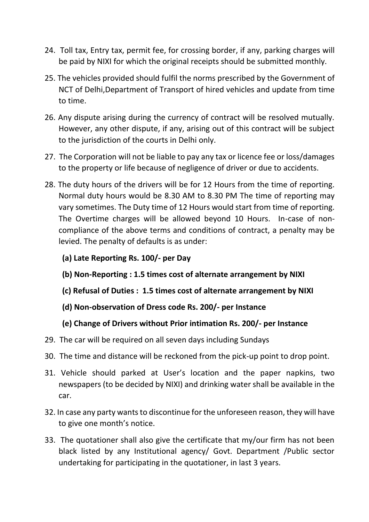- 24. Toll tax, Entry tax, permit fee, for crossing border, if any, parking charges will be paid by NIXI for which the original receipts should be submitted monthly.
- 25. The vehicles provided should fulfil the norms prescribed by the Government of NCT of Delhi,Department of Transport of hired vehicles and update from time to time.
- 26. Any dispute arising during the currency of contract will be resolved mutually. However, any other dispute, if any, arising out of this contract will be subject to the jurisdiction of the courts in Delhi only.
- 27. The Corporation will not be liable to pay any tax or licence fee or loss/damages to the property or life because of negligence of driver or due to accidents.
- 28. The duty hours of the drivers will be for 12 Hours from the time of reporting. Normal duty hours would be 8.30 AM to 8.30 PM The time of reporting may vary sometimes. The Duty time of 12 Hours would start from time of reporting. The Overtime charges will be allowed beyond 10 Hours. In-case of noncompliance of the above terms and conditions of contract, a penalty may be levied. The penalty of defaults is as under:
	- **(a) Late Reporting Rs. 100/- per Day**
	- **(b) Non-Reporting : 1.5 times cost of alternate arrangement by NIXI**
	- **(c) Refusal of Duties : 1.5 times cost of alternate arrangement by NIXI**
	- **(d) Non-observation of Dress code Rs. 200/- per Instance**
	- **(e) Change of Drivers without Prior intimation Rs. 200/- per Instance**
- 29. The car will be required on all seven days including Sundays
- 30. The time and distance will be reckoned from the pick-up point to drop point.
- 31. Vehicle should parked at User's location and the paper napkins, two newspapers (to be decided by NIXI) and drinking water shall be available in the car.
- 32. In case any party wants to discontinue for the unforeseen reason, they will have to give one month's notice.
- 33. The quotationer shall also give the certificate that my/our firm has not been black listed by any Institutional agency/ Govt. Department /Public sector undertaking for participating in the quotationer, in last 3 years.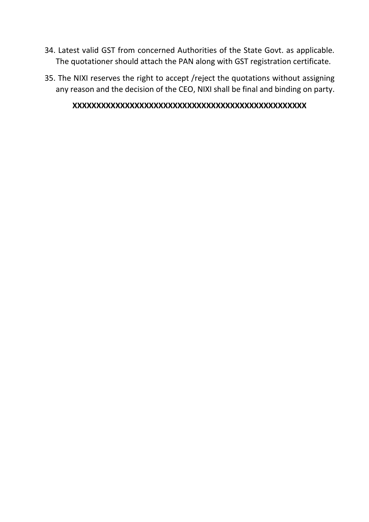- 34. Latest valid GST from concerned Authorities of the State Govt. as applicable. The quotationer should attach the PAN along with GST registration certificate.
- 35. The NIXI reserves the right to accept /reject the quotations without assigning any reason and the decision of the CEO, NIXI shall be final and binding on party.

#### **XXXXXXXXXXXXXXXXXXXXXXXXXXXXXXXXXXXXXXXXXXXXXXXXX**